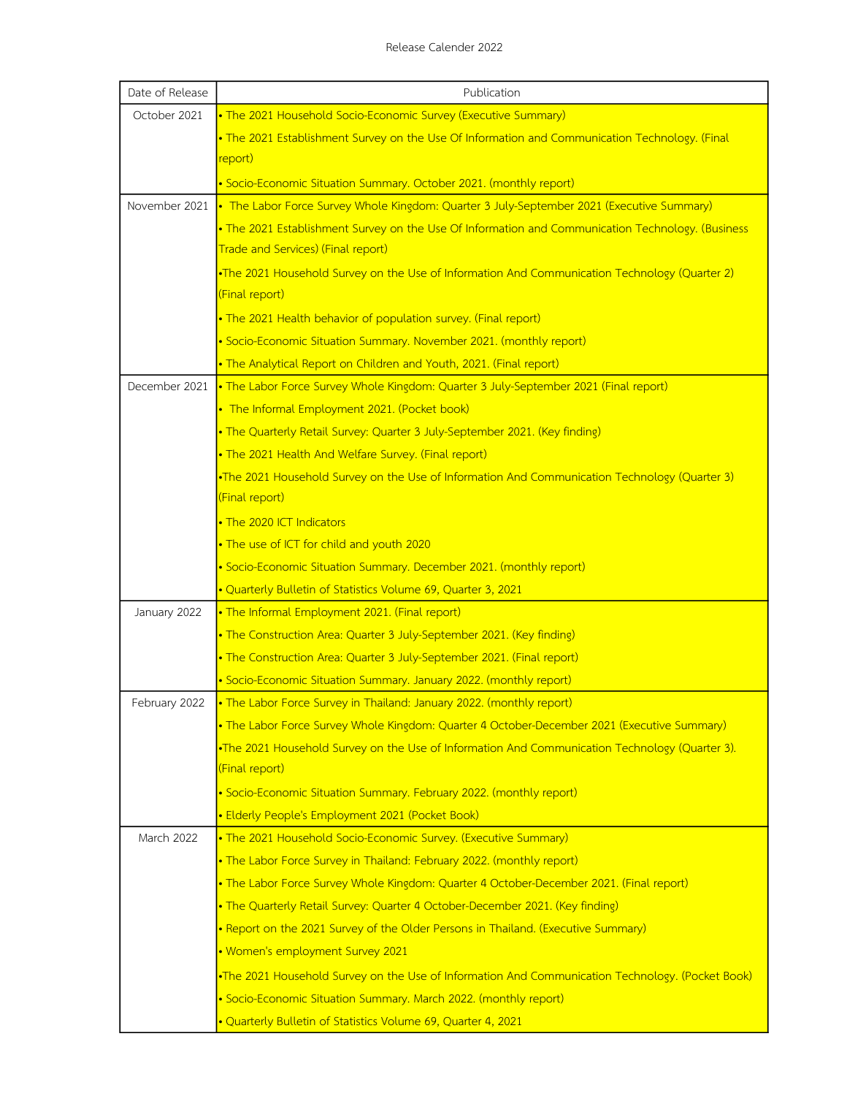| Date of Release | Publication                                                                                       |
|-----------------|---------------------------------------------------------------------------------------------------|
| October 2021    | . The 2021 Household Socio-Economic Survey (Executive Summary)                                    |
|                 | . The 2021 Establishment Survey on the Use Of Information and Communication Technology. (Final    |
|                 | report)                                                                                           |
|                 | · Socio-Economic Situation Summary. October 2021. (monthly report)                                |
| November 2021   | • The Labor Force Survey Whole Kingdom: Quarter 3 July-September 2021 (Executive Summary)         |
|                 | . The 2021 Establishment Survey on the Use Of Information and Communication Technology. (Business |
|                 | Trade and Services) (Final report)                                                                |
|                 | •The 2021 Household Survey on the Use of Information And Communication Technology (Quarter 2)     |
|                 | (Final report)                                                                                    |
|                 | . The 2021 Health behavior of population survey. (Final report)                                   |
|                 | · Socio-Economic Situation Summary. November 2021. (monthly report)                               |
|                 | . The Analytical Report on Children and Youth, 2021. (Final report)                               |
| December 2021   | . The Labor Force Survey Whole Kingdom: Quarter 3 July-September 2021 (Final report)              |
|                 | • The Informal Employment 2021. (Pocket book)                                                     |
|                 | • The Quarterly Retail Survey: Quarter 3 July-September 2021. (Key finding)                       |
|                 | . The 2021 Health And Welfare Survey. (Final report)                                              |
|                 | •The 2021 Household Survey on the Use of Information And Communication Technology (Quarter 3)     |
|                 | (Final report)                                                                                    |
|                 | . The 2020 ICT Indicators                                                                         |
|                 | . The use of ICT for child and youth 2020                                                         |
|                 | · Socio-Economic Situation Summary. December 2021. (monthly report)                               |
|                 | . Quarterly Bulletin of Statistics Volume 69, Quarter 3, 2021                                     |
| January 2022    | . The Informal Employment 2021. (Final report)                                                    |
|                 | • The Construction Area: Quarter 3 July-September 2021. (Key finding)                             |
|                 | • The Construction Area: Quarter 3 July-September 2021. (Final report)                            |
|                 | · Socio-Economic Situation Summary. January 2022. (monthly report)                                |
| February 2022   | . The Labor Force Survey in Thailand: January 2022. (monthly report)                              |
|                 | . The Labor Force Survey Whole Kingdom: Quarter 4 October-December 2021 (Executive Summary)       |
|                 | .The 2021 Household Survey on the Use of Information And Communication Technology (Quarter 3).    |
|                 | (Final report)                                                                                    |
|                 | • Socio-Economic Situation Summary. February 2022. (monthly report)                               |
|                 | · Elderly People's Employment 2021 (Pocket Book)                                                  |
| March 2022      | • The 2021 Household Socio-Economic Survey. (Executive Summary)                                   |
|                 | . The Labor Force Survey in Thailand: February 2022. (monthly report)                             |
|                 | . The Labor Force Survey Whole Kingdom: Quarter 4 October-December 2021. (Final report)           |
|                 | • The Quarterly Retail Survey: Quarter 4 October-December 2021. (Key finding)                     |
|                 | • Report on the 2021 Survey of the Older Persons in Thailand. (Executive Summary)                 |
|                 | • Women's employment Survey 2021                                                                  |
|                 | The 2021 Household Survey on the Use of Information And Communication Technology. (Pocket Book)   |
|                 | · Socio-Economic Situation Summary. March 2022. (monthly report)                                  |
|                 | . Quarterly Bulletin of Statistics Volume 69, Quarter 4, 2021                                     |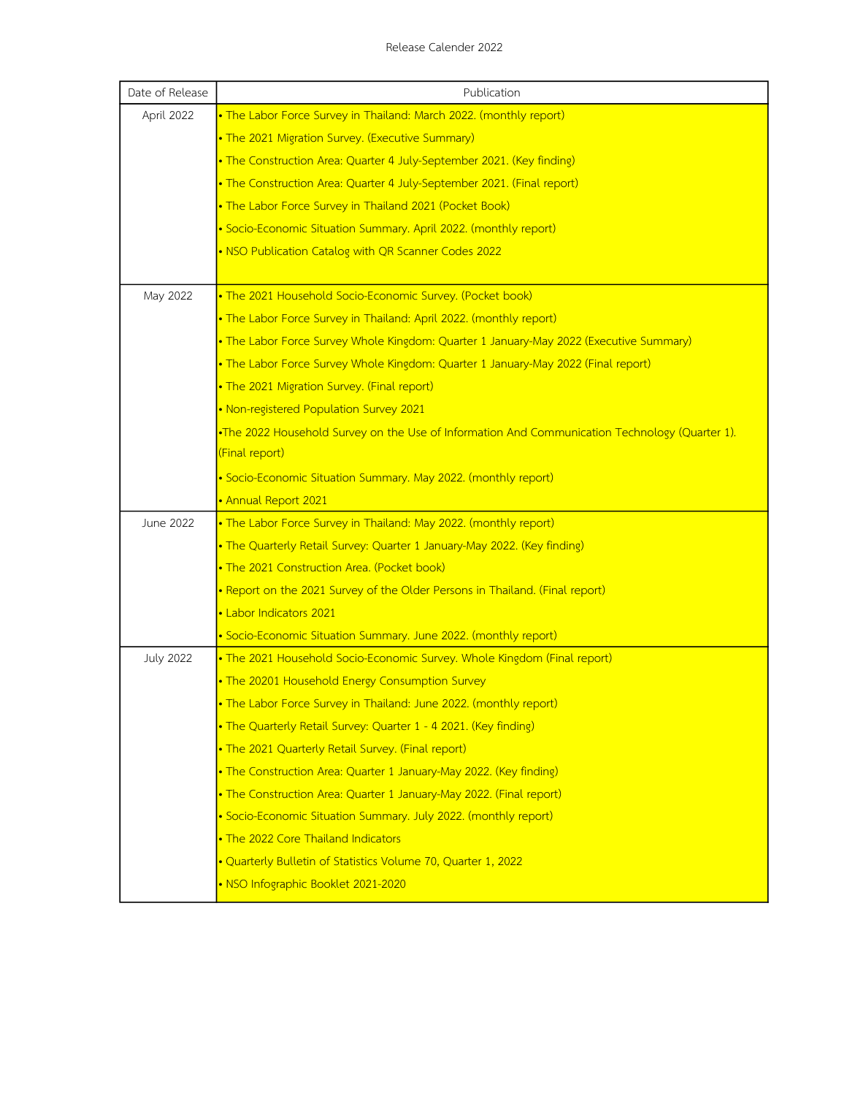| Date of Release  | Publication                                                                                    |
|------------------|------------------------------------------------------------------------------------------------|
| April 2022       | . The Labor Force Survey in Thailand: March 2022. (monthly report)                             |
|                  | . The 2021 Migration Survey. (Executive Summary)                                               |
|                  | • The Construction Area: Quarter 4 July-September 2021. (Key finding)                          |
|                  | • The Construction Area: Quarter 4 July-September 2021. (Final report)                         |
|                  | • The Labor Force Survey in Thailand 2021 (Pocket Book)                                        |
|                  | · Socio-Economic Situation Summary. April 2022. (monthly report)                               |
|                  | . NSO Publication Catalog with QR Scanner Codes 2022                                           |
| May 2022         | . The 2021 Household Socio-Economic Survey. (Pocket book)                                      |
|                  | • The Labor Force Survey in Thailand: April 2022. (monthly report)                             |
|                  | • The Labor Force Survey Whole Kingdom: Quarter 1 January-May 2022 (Executive Summary)         |
|                  | • The Labor Force Survey Whole Kingdom: Quarter 1 January-May 2022 (Final report)              |
|                  | . The 2021 Migration Survey. (Final report)                                                    |
|                  | • Non-registered Population Survey 2021                                                        |
|                  | .The 2022 Household Survey on the Use of Information And Communication Technology (Quarter 1). |
|                  | (Final report)                                                                                 |
|                  | · Socio-Economic Situation Summary. May 2022. (monthly report)                                 |
|                  | · Annual Report 2021                                                                           |
| June 2022        | . The Labor Force Survey in Thailand: May 2022. (monthly report)                               |
|                  | • The Quarterly Retail Survey: Quarter 1 January-May 2022. (Key finding)                       |
|                  | . The 2021 Construction Area. (Pocket book)                                                    |
|                  | • Report on the 2021 Survey of the Older Persons in Thailand. (Final report)                   |
|                  | · Labor Indicators 2021                                                                        |
|                  | · Socio-Economic Situation Summary. June 2022. (monthly report)                                |
| <b>July 2022</b> | . The 2021 Household Socio-Economic Survey. Whole Kingdom (Final report)                       |
|                  | . The 20201 Household Energy Consumption Survey                                                |
|                  | • The Labor Force Survey in Thailand: June 2022. (monthly report)                              |
|                  | • The Quarterly Retail Survey: Quarter 1 - 4 2021. (Key finding)                               |
|                  | . The 2021 Quarterly Retail Survey. (Final report)                                             |
|                  | • The Construction Area: Quarter 1 January-May 2022. (Key finding)                             |
|                  | • The Construction Area: Quarter 1 January-May 2022. (Final report)                            |
|                  | • Socio-Economic Situation Summary. July 2022. (monthly report)                                |
|                  | . The 2022 Core Thailand Indicators                                                            |
|                  | . Quarterly Bulletin of Statistics Volume 70, Quarter 1, 2022                                  |
|                  | . NSO Infographic Booklet 2021-2020                                                            |